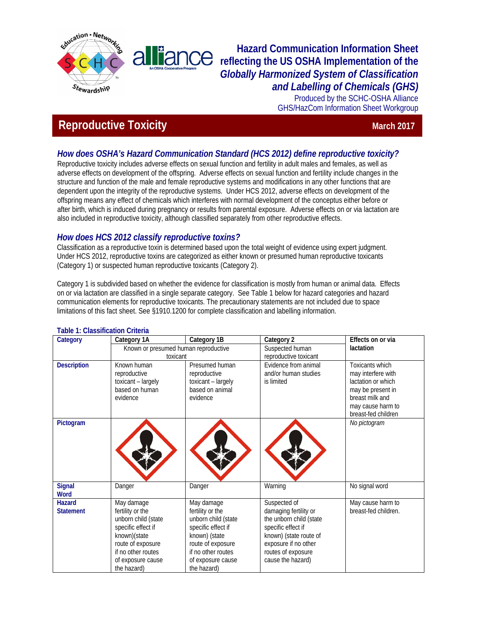

## **Hazard Communication Information Sheet reflecting the US OSHA Implementation of the**  *Globally Harmonized System of Classification and Labelling of Chemicals (GHS)*

Produced by the SCHC-OSHA Alliance GHS/HazCom Information Sheet Workgroup

# **Reproductive Toxicity March 2017 March 2017**

## *How does OSHA's Hazard Communication Standard (HCS 2012) define reproductive toxicity?*

Reproductive toxicity includes adverse effects on sexual function and fertility in adult males and females, as well as adverse effects on development of the offspring. Adverse effects on sexual function and fertility include changes in the structure and function of the male and female reproductive systems and modifications in any other functions that are dependent upon the integrity of the reproductive systems. Under HCS 2012, adverse effects on development of the offspring means any effect of chemicals which interferes with normal development of the conceptus either before or after birth, which is induced during pregnancy or results from parental exposure. Adverse effects on or via lactation are also included in reproductive toxicity, although classified separately from other reproductive effects.

## *How does HCS 2012 classify reproductive toxins?*

Classification as a reproductive toxin is determined based upon the total weight of evidence using expert judgment. Under HCS 2012, reproductive toxins are categorized as either known or presumed human reproductive toxicants (Category 1) or suspected human reproductive toxicants (Category 2).

Category 1 is subdivided based on whether the evidence for classification is mostly from human or animal data. Effects on or via lactation are classified in a single separate category. See Table 1 below for hazard categories and hazard communication elements for reproductive toxicants. The precautionary statements are not included due to space limitations of this fact sheet. See §1910.1200 for complete classification and labelling information.

| Category           | Category 1A                          | Category 1B         | Category 2              | Effects on or via    |
|--------------------|--------------------------------------|---------------------|-------------------------|----------------------|
|                    | Known or presumed human reproductive |                     | Suspected human         | lactation            |
|                    | toxicant                             |                     | reproductive toxicant   |                      |
| <b>Description</b> | Known human                          | Presumed human      | Evidence from animal    | Toxicants which      |
|                    | reproductive                         | reproductive        | and/or human studies    | may interfere with   |
|                    | toxicant - largely                   | toxicant - largely  | is limited              | lactation or which   |
|                    | based on human                       | based on animal     |                         | may be present in    |
|                    | evidence                             | evidence            |                         | breast milk and      |
|                    |                                      |                     |                         | may cause harm to    |
|                    |                                      |                     |                         | breast-fed children  |
| Pictogram          |                                      |                     |                         | No pictogram         |
|                    |                                      |                     |                         |                      |
|                    |                                      |                     |                         |                      |
|                    |                                      |                     |                         |                      |
|                    |                                      |                     |                         |                      |
|                    |                                      |                     |                         |                      |
| <b>Signal</b>      | Danger                               | Danger              | Warning                 | No signal word       |
| <b>Word</b>        |                                      |                     |                         |                      |
| <b>Hazard</b>      | May damage                           | May damage          | Suspected of            | May cause harm to    |
| <b>Statement</b>   | fertility or the                     | fertility or the    | damaging fertility or   | breast-fed children. |
|                    | unborn child (state                  | unborn child (state | the unborn child (state |                      |
|                    | specific effect if                   | specific effect if  | specific effect if      |                      |
|                    | known)(state                         | known) (state       | known) (state route of  |                      |
|                    | route of exposure                    | route of exposure   | exposure if no other    |                      |
|                    | if no other routes                   | if no other routes  | routes of exposure      |                      |
|                    | of exposure cause                    | of exposure cause   | cause the hazard)       |                      |
|                    | the hazard)                          | the hazard)         |                         |                      |

#### **Table 1: Classification Criteria**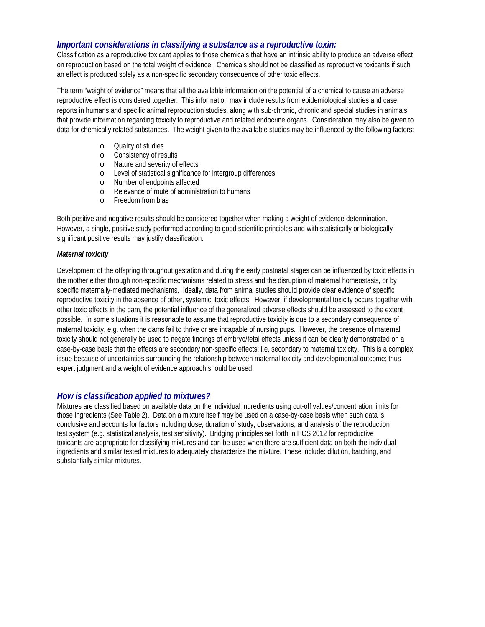#### *Important considerations in classifying a substance as a reproductive toxin:*

Classification as a reproductive toxicant applies to those chemicals that have an intrinsic ability to produce an adverse effect on reproduction based on the total weight of evidence. Chemicals should not be classified as reproductive toxicants if such an effect is produced solely as a non-specific secondary consequence of other toxic effects.

The term "weight of evidence" means that all the available information on the potential of a chemical to cause an adverse reproductive effect is considered together. This information may include results from epidemiological studies and case reports in humans and specific animal reproduction studies, along with sub-chronic, chronic and special studies in animals that provide information regarding toxicity to reproductive and related endocrine organs. Consideration may also be given to data for chemically related substances. The weight given to the available studies may be influenced by the following factors:

- o Quality of studies
- o Consistency of results
- o Nature and severity of effects
- o Level of statistical significance for intergroup differences
- 
- o Number of endpoints affected  $\circ$  Relevance of route of administration to humans<br> $\circ$  Freedom from bias
- Freedom from bias

Both positive and negative results should be considered together when making a weight of evidence determination. However, a single, positive study performed according to good scientific principles and with statistically or biologically significant positive results may justify classification.

#### *Maternal toxicity*

Development of the offspring throughout gestation and during the early postnatal stages can be influenced by toxic effects in the mother either through non-specific mechanisms related to stress and the disruption of maternal homeostasis, or by specific maternally-mediated mechanisms. Ideally, data from animal studies should provide clear evidence of specific reproductive toxicity in the absence of other, systemic, toxic effects. However, if developmental toxicity occurs together with other toxic effects in the dam, the potential influence of the generalized adverse effects should be assessed to the extent possible. In some situations it is reasonable to assume that reproductive toxicity is due to a secondary consequence of maternal toxicity, e.g. when the dams fail to thrive or are incapable of nursing pups. However, the presence of maternal toxicity should not generally be used to negate findings of embryo/fetal effects unless it can be clearly demonstrated on a case-by-case basis that the effects are secondary non-specific effects; i.e. secondary to maternal toxicity. This is a complex issue because of uncertainties surrounding the relationship between maternal toxicity and developmental outcome; thus expert judgment and a weight of evidence approach should be used.

#### *How is classification applied to mixtures?*

Mixtures are classified based on available data on the individual ingredients using cut-off values/concentration limits for those ingredients (See Table 2). Data on a mixture itself may be used on a case-by-case basis when such data is conclusive and accounts for factors including dose, duration of study, observations, and analysis of the reproduction test system (e.g. statistical analysis, test sensitivity). Bridging principles set forth in HCS 2012 for reproductive toxicants are appropriate for classifying mixtures and can be used when there are sufficient data on both the individual ingredients and similar tested mixtures to adequately characterize the mixture. These include: dilution, batching, and substantially similar mixtures.